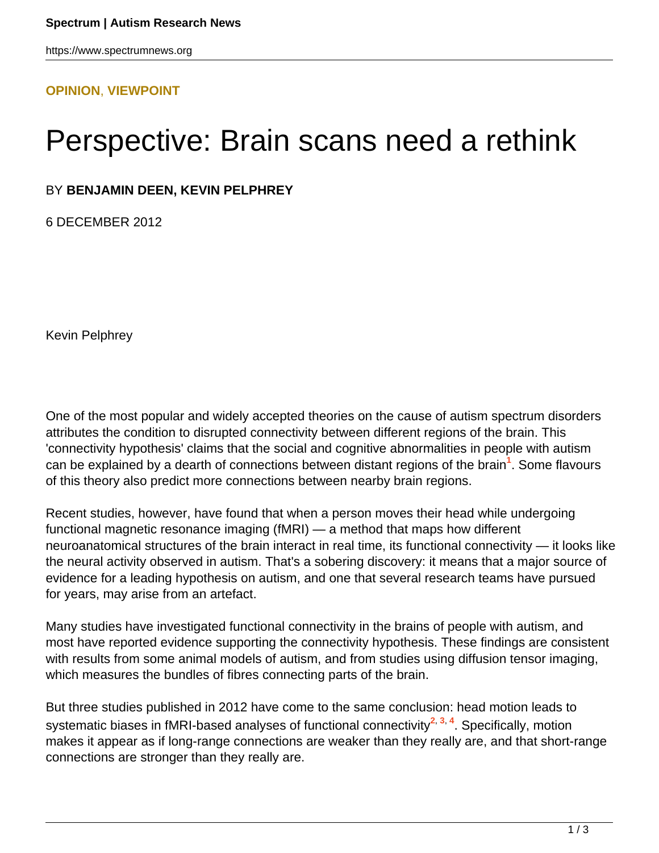## **[OPINION](HTTPS://WWW.SPECTRUMNEWS.ORG/OPINION/)**, **[VIEWPOINT](HTTPS://WWW.SPECTRUMNEWS.ORG/OPINION/VIEWPOINT/)**

## Perspective: Brain scans need a rethink

## BY **BENJAMIN DEEN, KEVIN PELPHREY**

6 DECEMBER 2012

Kevin Pelphrey

One of the most popular and widely accepted theories on the cause of autism spectrum disorders attributes the condition to disrupted connectivity between different regions of the brain. This 'connectivity hypothesis' claims that the social and cognitive abnormalities in people with autism can be explained by a dearth of connections between distant regions of the brain**<sup>1</sup>** . Some flavours of this theory also predict more connections between nearby brain regions.

Recent studies, however, have found that when a person moves their head while undergoing functional magnetic resonance imaging (fMRI) — a method that maps how different neuroanatomical structures of the brain interact in real time, its functional connectivity — it looks like the neural activity observed in autism. That's a sobering discovery: it means that a major source of evidence for a leading hypothesis on autism, and one that several research teams have pursued for years, may arise from an artefact.

Many studies have investigated functional connectivity in the brains of people with autism, and most have reported evidence supporting the connectivity hypothesis. These findings are consistent with results from some animal models of autism, and from studies using diffusion tensor imaging, which measures the bundles of fibres connecting parts of the brain.

But three studies published in 2012 have come to the same conclusion: head motion leads to systematic biases in fMRI-based analyses of functional connectivity**<sup>2</sup>**, **3**, **<sup>4</sup>** . Specifically, motion makes it appear as if long-range connections are weaker than they really are, and that short-range connections are stronger than they really are.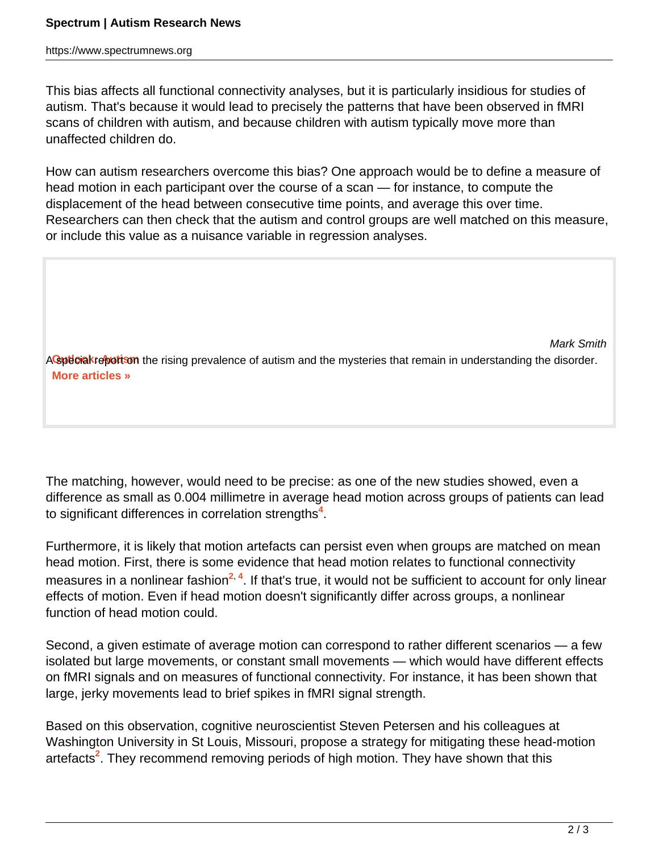https://www.spectrumnews.org

This bias affects all functional connectivity analyses, but it is particularly insidious for studies of autism. That's because it would lead to precisely the patterns that have been observed in fMRI scans of children with autism, and because children with autism typically move more than unaffected children do.

How can autism researchers overcome this bias? One approach would be to define a measure of head motion in each participant over the course of a scan — for instance, to compute the displacement of the head between consecutive time points, and average this over time. Researchers can then check that the autism and control groups are well matched on this measure, or include this value as a nuisance variable in regression analyses.

 Mark Smith ACspeciakreportson the rising prevalence of autism and the mysteries that remain in understanding the disorder. **[More articles »](https://www.spectrumnews.org/specials/2012/outlook-autism/outlook-autism)**

The matching, however, would need to be precise: as one of the new studies showed, even a difference as small as 0.004 millimetre in average head motion across groups of patients can lead to significant differences in correlation strengths**<sup>4</sup>** .

Furthermore, it is likely that motion artefacts can persist even when groups are matched on mean head motion. First, there is some evidence that head motion relates to functional connectivity measures in a nonlinear fashion<sup>2, 4</sup>. If that's true, it would not be sufficient to account for only linear effects of motion. Even if head motion doesn't significantly differ across groups, a nonlinear function of head motion could.

Second, a given estimate of average motion can correspond to rather different scenarios — a few isolated but large movements, or constant small movements — which would have different effects on fMRI signals and on measures of functional connectivity. For instance, it has been shown that large, jerky movements lead to brief spikes in fMRI signal strength.

Based on this observation, cognitive neuroscientist Steven Petersen and his colleagues at Washington University in St Louis, Missouri, propose a strategy for mitigating these head-motion artefacts**<sup>2</sup>** . They recommend removing periods of high motion. They have shown that this